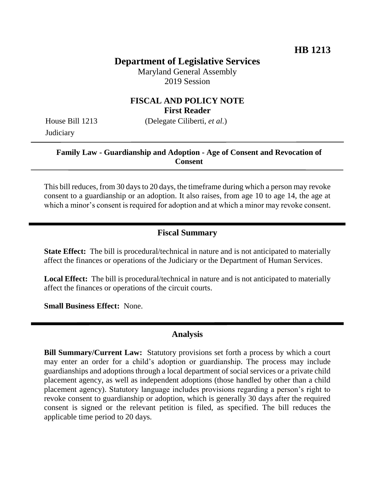# **Department of Legislative Services**

Maryland General Assembly 2019 Session

## **FISCAL AND POLICY NOTE First Reader**

**Judiciary** 

House Bill 1213 (Delegate Ciliberti, *et al.*)

#### **Family Law - Guardianship and Adoption - Age of Consent and Revocation of Consent**

This bill reduces, from 30 days to 20 days, the timeframe during which a person may revoke consent to a guardianship or an adoption. It also raises, from age 10 to age 14, the age at which a minor's consent is required for adoption and at which a minor may revoke consent.

#### **Fiscal Summary**

**State Effect:** The bill is procedural/technical in nature and is not anticipated to materially affect the finances or operations of the Judiciary or the Department of Human Services.

**Local Effect:** The bill is procedural/technical in nature and is not anticipated to materially affect the finances or operations of the circuit courts.

**Small Business Effect:** None.

## **Analysis**

**Bill Summary/Current Law:** Statutory provisions set forth a process by which a court may enter an order for a child's adoption or guardianship. The process may include guardianships and adoptions through a local department of social services or a private child placement agency, as well as independent adoptions (those handled by other than a child placement agency). Statutory language includes provisions regarding a person's right to revoke consent to guardianship or adoption, which is generally 30 days after the required consent is signed or the relevant petition is filed, as specified. The bill reduces the applicable time period to 20 days.